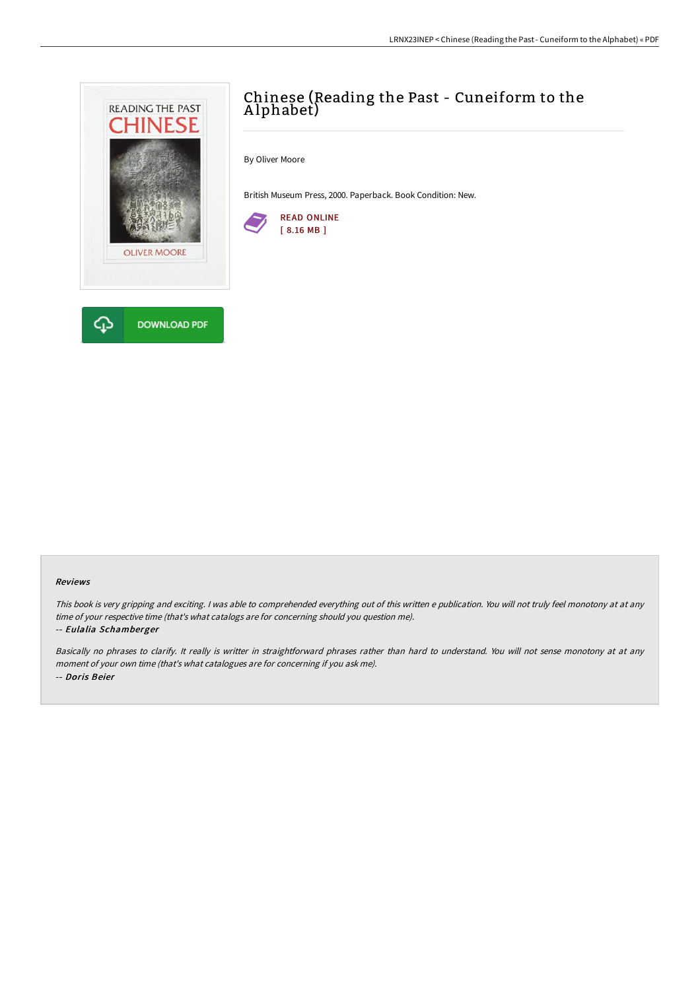

# Chinese (Reading the Past - Cuneiform to the A lphabet)

By Oliver Moore

British Museum Press, 2000. Paperback. Book Condition: New.



#### Reviews

This book is very gripping and exciting. I was able to comprehended everything out of this written e publication. You will not truly feel monotony at at any time of your respective time (that's what catalogs are for concerning should you question me).

#### -- Eulalia Schamberger

Basically no phrases to clarify. It really is writter in straightforward phrases rather than hard to understand. You will not sense monotony at at any moment of your own time (that's what catalogues are for concerning if you ask me). -- Doris Beier